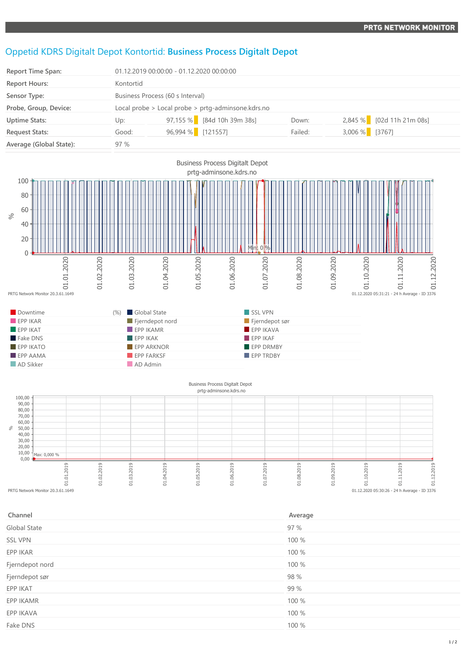## Oppetid KDRS Digitalt Depot Kontortid: **Business Process Digitalt Depot**

| <b>Report Time Span:</b> |           | 01.12.2019 00:00:00 - 01.12.2020 00:00:00              |         |                           |  |  |
|--------------------------|-----------|--------------------------------------------------------|---------|---------------------------|--|--|
| <b>Report Hours:</b>     | Kontortid |                                                        |         |                           |  |  |
| Sensor Type:             |           | Business Process (60 s Interval)                       |         |                           |  |  |
| Probe, Group, Device:    |           | Local probe $>$ Local probe $>$ prtg-adminsone.kdrs.no |         |                           |  |  |
| <b>Uptime Stats:</b>     | Up:       | $97,155\%$ [84d 10h 39m 38s]                           | Down:   | 2,845 % [02d 11h 21m 08s] |  |  |
| <b>Request Stats:</b>    | Good:     | 96,994 % [121557]                                      | Failed: | 3,006 % [3767]            |  |  |
| Average (Global State):  | 97%       |                                                        |         |                           |  |  |



## Business Process Digitalt Depot prtg-adminsone.kdrs.no



| Channel         | Average |
|-----------------|---------|
| Global State    | 97 %    |
| <b>SSL VPN</b>  | 100 %   |
| EPP IKAR        | 100 %   |
| Fjerndepot nord | 100 %   |
| Fjerndepot sør  | 98 %    |
| EPP IKAT        | 99 %    |
| EPP IKAMR       | 100 %   |
| EPP IKAVA       | 100 %   |
| Fake DNS        | 100 %   |
|                 |         |